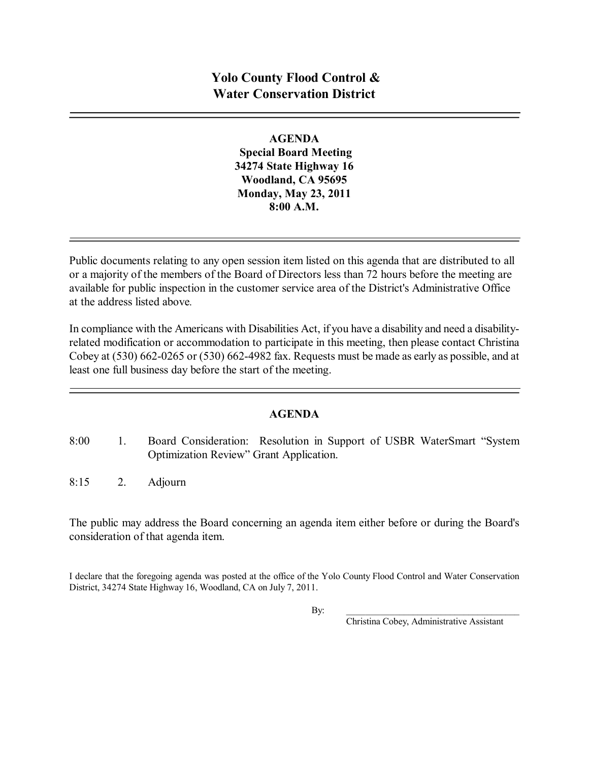## **AGENDA**

**Special Board Meeting 34274 State Highway 16 Woodland, CA 95695 Monday, May 23, 2011 8:00 A.M.**

Public documents relating to any open session item listed on this agenda that are distributed to all or a majority of the members of the Board of Directors less than 72 hours before the meeting are available for public inspection in the customer service area of the District's Administrative Office at the address listed above*.*

In compliance with the Americans with Disabilities Act, if you have a disability and need a disabilityrelated modification or accommodation to participate in this meeting, then please contact Christina Cobey at  $(530)$  662-0265 or  $(530)$  662-4982 fax. Requests must be made as early as possible, and at least one full business day before the start of the meeting.

## **AGENDA**

- 8:00 1. Board Consideration: Resolution in Support of USBR WaterSmart "System Optimization Review" Grant Application.
- 8:15 2. Adjourn

The public may address the Board concerning an agenda item either before or during the Board's consideration of that agenda item.

I declare that the foregoing agenda was posted at the office of the Yolo County Flood Control and Water Conservation District, 34274 State Highway 16, Woodland, CA on July 7, 2011.

By: \_\_\_\_\_\_\_\_\_\_\_\_\_\_\_\_\_\_\_\_\_\_\_\_\_\_\_\_\_\_\_\_\_\_\_\_\_

Christina Cobey, Administrative Assistant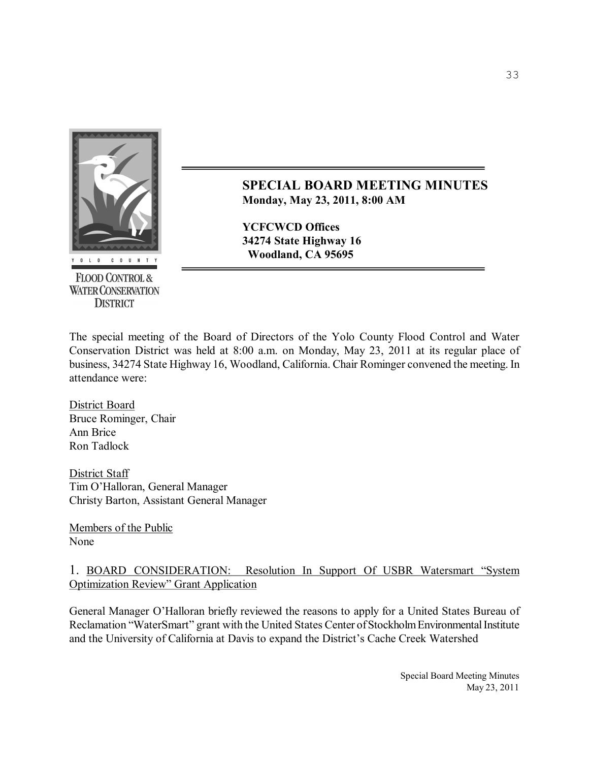

**FLOOD CONTROL & WATER CONSERVATION DISTRICT** 

**SPECIAL BOARD MEETING MINUTES Monday, May 23, 2011, 8:00 AM** 

**YCFCWCD Offices 34274 State Highway 16 Woodland, CA 95695**

The special meeting of the Board of Directors of the Yolo County Flood Control and Water Conservation District was held at 8:00 a.m. on Monday, May 23, 2011 at its regular place of business, 34274 State Highway 16, Woodland, California. Chair Rominger convened the meeting. In attendance were:

District Board Bruce Rominger, Chair Ann Brice Ron Tadlock

District Staff Tim O'Halloran, General Manager Christy Barton, Assistant General Manager

Members of the Public None

## 1. BOARD CONSIDERATION: Resolution In Support Of USBR Watersmart "System Optimization Review" Grant Application

General Manager O'Halloran briefly reviewed the reasons to apply for a United States Bureau of Reclamation "WaterSmart" grant with the United States Center of Stockholm Environmental Institute and the University of California at Davis to expand the District's Cache Creek Watershed

> Special Board Meeting Minutes May 23, 2011